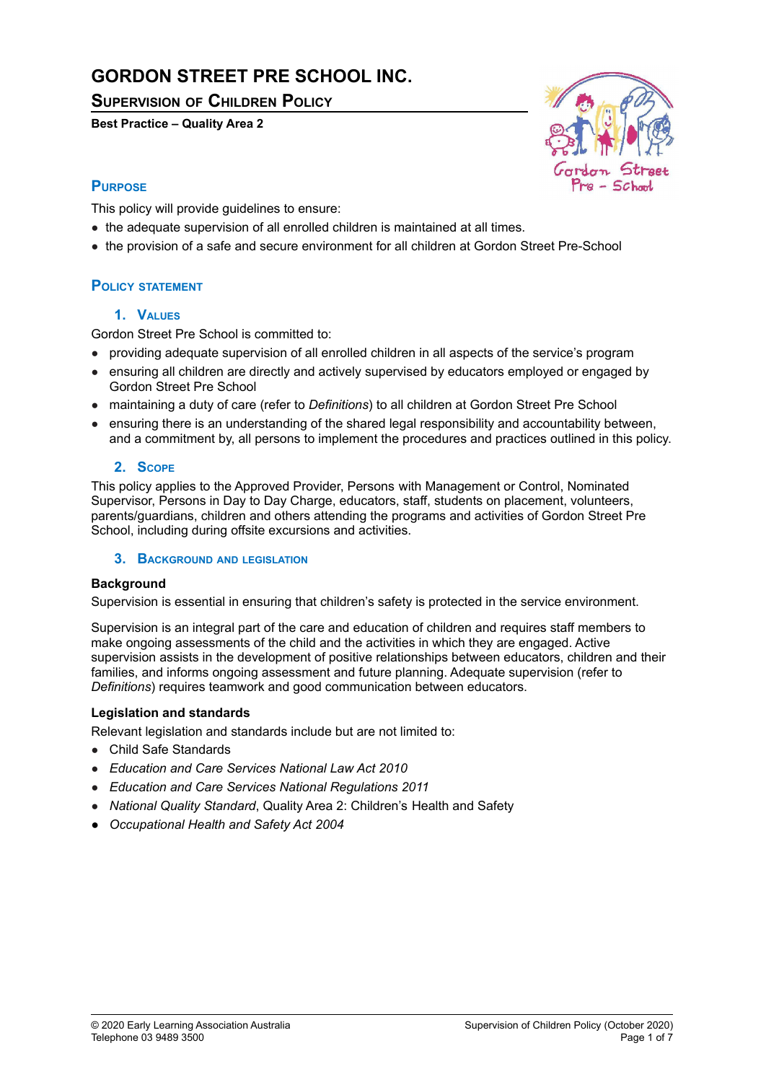# **GORDON STREET PRE SCHOOL INC.**

**SUPERVISION OF CHILDREN POLICY**

**Best Practice – Quality Area 2**



# **PURPOSE**

This policy will provide guidelines to ensure:

- the adequate supervision of all enrolled children is maintained at all times.
- the provision of a safe and secure environment for all children at Gordon Street Pre-School

# **POLICY STATEMENT**

# **1. VALUES**

Gordon Street Pre School is committed to:

- providing adequate supervision of all enrolled children in all aspects of the service's program
- ensuring all children are directly and actively supervised by educators employed or engaged by Gordon Street Pre School
- maintaining a duty of care (refer to *Definitions*) to all children at Gordon Street Pre School
- ensuring there is an understanding of the shared legal responsibility and accountability between, and a commitment by, all persons to implement the procedures and practices outlined in this policy.

# **2. SCOPE**

This policy applies to the Approved Provider, Persons with Management or Control, Nominated Supervisor, Persons in Day to Day Charge, educators, staff, students on placement, volunteers, parents/guardians, children and others attending the programs and activities of Gordon Street Pre School, including during offsite excursions and activities.

# **3. BACKGROUND AND LEGISLATION**

# **Background**

Supervision is essential in ensuring that children's safety is protected in the service environment.

Supervision is an integral part of the care and education of children and requires staff members to make ongoing assessments of the child and the activities in which they are engaged. Active supervision assists in the development of positive relationships between educators, children and their families, and informs ongoing assessment and future planning. Adequate supervision (refer to *Definitions*) requires teamwork and good communication between educators.

# **Legislation and standards**

Relevant legislation and standards include but are not limited to:

- Child Safe Standards
- *Education and Care Services National Law Act 2010*
- *Education and Care Services National Regulations 2011*
- *National Quality Standard*, Quality Area 2: Children's Health and Safety
- *● Occupational Health and Safety Act 2004*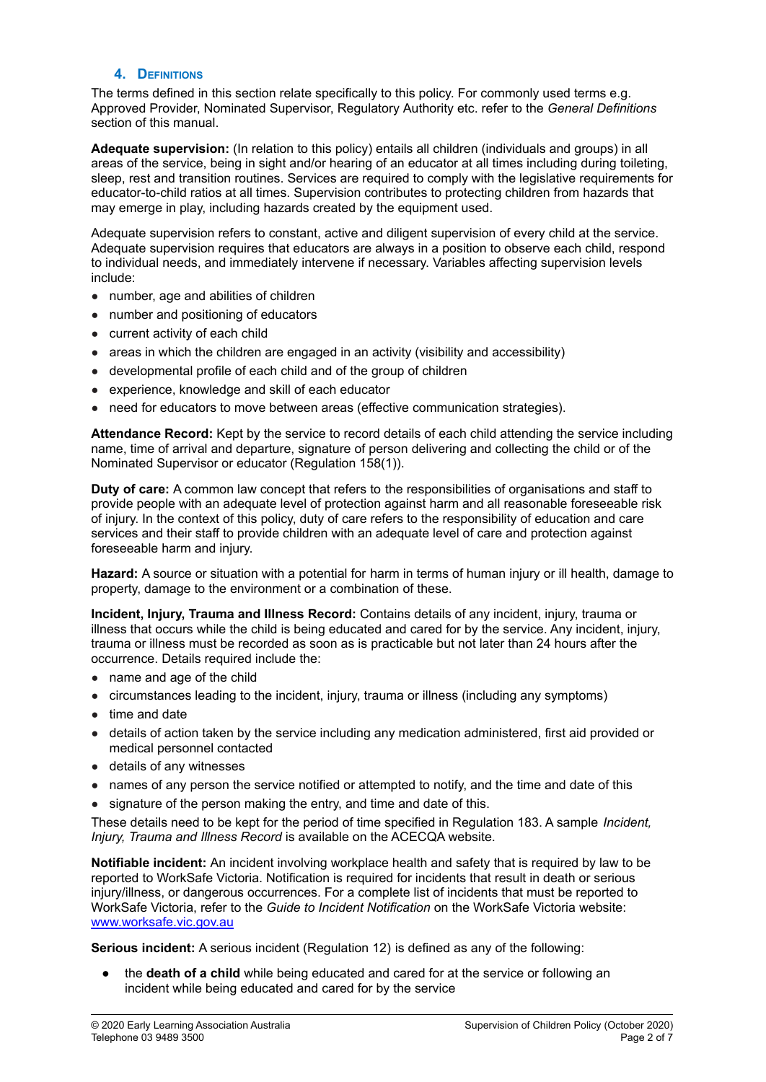### **4. DEFINITIONS**

The terms defined in this section relate specifically to this policy. For commonly used terms e.g. Approved Provider, Nominated Supervisor, Regulatory Authority etc. refer to the *General Definitions* section of this manual.

**Adequate supervision:** (In relation to this policy) entails all children (individuals and groups) in all areas of the service, being in sight and/or hearing of an educator at all times including during toileting, sleep, rest and transition routines. Services are required to comply with the legislative requirements for educator-to-child ratios at all times. Supervision contributes to protecting children from hazards that may emerge in play, including hazards created by the equipment used.

Adequate supervision refers to constant, active and diligent supervision of every child at the service. Adequate supervision requires that educators are always in a position to observe each child, respond to individual needs, and immediately intervene if necessary. Variables affecting supervision levels include:

- number, age and abilities of children
- number and positioning of educators
- current activity of each child
- areas in which the children are engaged in an activity (visibility and accessibility)
- developmental profile of each child and of the group of children
- experience, knowledge and skill of each educator
- need for educators to move between areas (effective communication strategies).

**Attendance Record:** Kept by the service to record details of each child attending the service including name, time of arrival and departure, signature of person delivering and collecting the child or of the Nominated Supervisor or educator (Regulation 158(1)).

**Duty of care:** A common law concept that refers to the responsibilities of organisations and staff to provide people with an adequate level of protection against harm and all reasonable foreseeable risk of injury. In the context of this policy, duty of care refers to the responsibility of education and care services and their staff to provide children with an adequate level of care and protection against foreseeable harm and injury.

**Hazard:** A source or situation with a potential for harm in terms of human injury or ill health, damage to property, damage to the environment or a combination of these.

**Incident, Injury, Trauma and Illness Record:** Contains details of any incident, injury, trauma or illness that occurs while the child is being educated and cared for by the service. Any incident, injury, trauma or illness must be recorded as soon as is practicable but not later than 24 hours after the occurrence. Details required include the:

- name and age of the child
- circumstances leading to the incident, injury, trauma or illness (including any symptoms)
- time and date
- details of action taken by the service including any medication administered, first aid provided or medical personnel contacted
- details of any witnesses
- names of any person the service notified or attempted to notify, and the time and date of this
- signature of the person making the entry, and time and date of this.

These details need to be kept for the period of time specified in Regulation 183. A sample *Incident, Injury, Trauma and Illness Record* is available on the ACECQA website.

**Notifiable incident:** An incident involving workplace health and safety that is required by law to be reported to WorkSafe Victoria. Notification is required for incidents that result in death or serious injury/illness, or dangerous occurrences. For a complete list of incidents that must be reported to WorkSafe Victoria, refer to the *Guide to Incident Notification* on the WorkSafe Victoria website: [www.worksafe.vic.gov.au](http://www.worksafe.vic.gov.au)

**Serious incident:** A serious incident (Regulation 12) is defined as any of the following:

● the **death of a child** while being educated and cared for at the service or following an incident while being educated and cared for by the service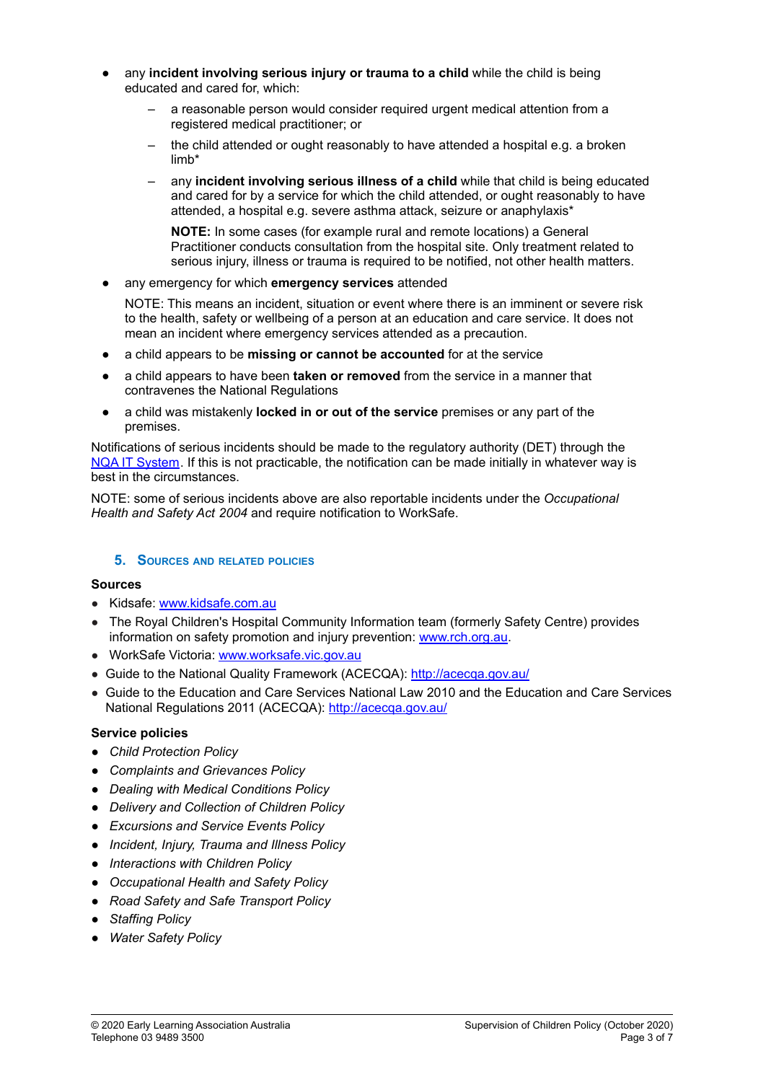- any **incident involving serious injury or trauma to a child** while the child is being educated and cared for, which:
	- a reasonable person would consider required urgent medical attention from a registered medical practitioner; or
	- the child attended or ought reasonably to have attended a hospital e.g. a broken limb\*
	- any **incident involving serious illness of a child** while that child is being educated and cared for by a service for which the child attended, or ought reasonably to have attended, a hospital e.g. severe asthma attack, seizure or anaphylaxis\*

**NOTE:** In some cases (for example rural and remote locations) a General Practitioner conducts consultation from the hospital site. Only treatment related to serious injury, illness or trauma is required to be notified, not other health matters.

any emergency for which **emergency services** attended

NOTE: This means an incident, situation or event where there is an imminent or severe risk to the health, safety or wellbeing of a person at an education and care service. It does not mean an incident where emergency services attended as a precaution.

- a child appears to be **missing or cannot be accounted** for at the service
- a child appears to have been **taken or removed** from the service in a manner that contravenes the National Regulations
- a child was mistakenly **locked in or out of the service** premises or any part of the premises.

Notifications of serious incidents should be made to the regulatory authority (DET) through the NQA IT [System](https://www.acecqa.gov.au/resources/national-quality-agenda-it-system). If this is not practicable, the notification can be made initially in whatever way is best in the circumstances.

NOTE: some of serious incidents above are also reportable incidents under the *Occupational Health and Safety Act 2004* and require notification to WorkSafe.

# **5. SOURCES AND RELATED POLICIES**

#### **Sources**

- Kidsafe: [www.kidsafe.com.au](http://www.kidsafe.com.au)
- The Royal Children's Hospital Community Information team (formerly Safety Centre) provides information on safety promotion and injury prevention: [www.rch.org.au](https://www.rch.org.au/home/).
- WorkSafe Victoria: [www.worksafe.vic.gov.au](http://www.worksafe.vic.gov.au)
- Guide to the National Quality Framework (ACECQA): <http://acecqa.gov.au/>
- Guide to the Education and Care Services National Law 2010 and the Education and Care Services National Regulations 2011 (ACECQA): <http://acecqa.gov.au/>

#### **Service policies**

- *● Child Protection Policy*
- *● Complaints and Grievances Policy*
- *● Dealing with Medical Conditions Policy*
- *● Delivery and Collection of Children Policy*
- *● Excursions and Service Events Policy*
- *● Incident, Injury, Trauma and Illness Policy*
- *● Interactions with Children Policy*
- *● Occupational Health and Safety Policy*
- *● Road Safety and Safe Transport Policy*
- *● Staffing Policy*
- *● Water Safety Policy*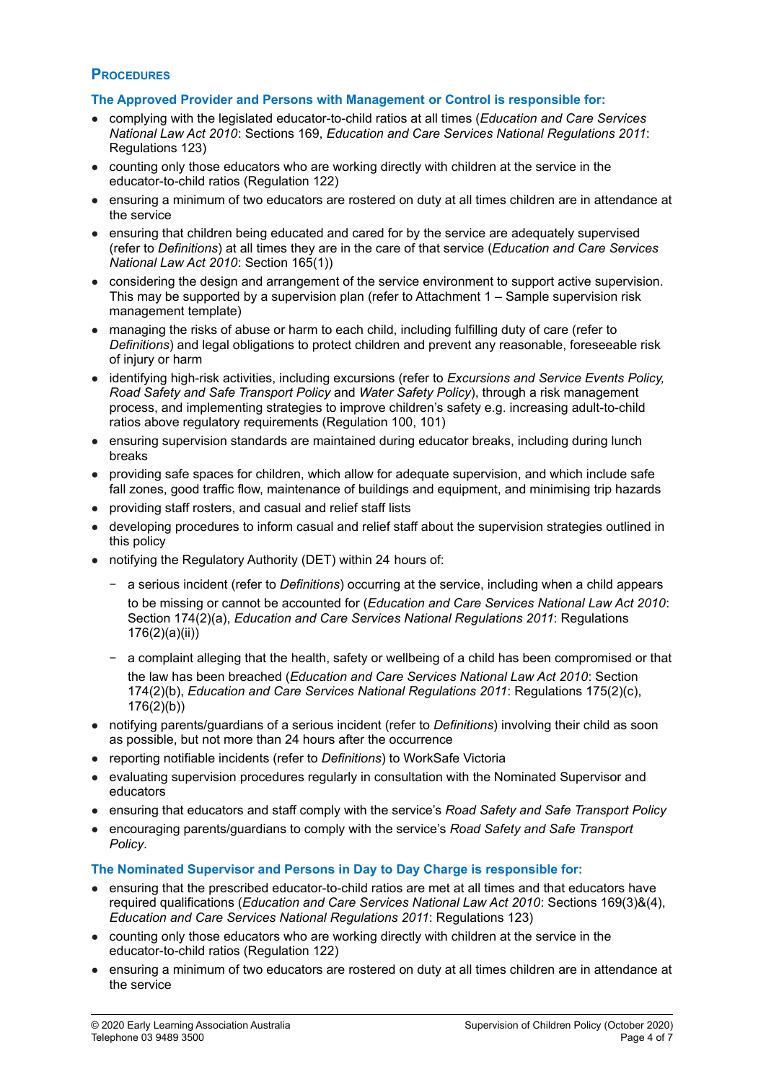# **PROCEDURES**

### **The Approved Provider and Persons with Management or Control is responsible for:**

- complying with the legislated educator-to-child ratios at all times (*Education and Care Services National Law Act 2010*: Sections 169, *Education and Care Services National Regulations 2011*: Regulations 123)
- counting only those educators who are working directly with children at the service in the educator-to-child ratios (Regulation 122)
- ensuring a minimum of two educators are rostered on duty at all times children are in attendance at the service
- ensuring that children being educated and cared for by the service are adequately supervised (refer to *Definitions*) at all times they are in the care of that service (*Education and Care Services National Law Act 2010*: Section 165(1))
- considering the design and arrangement of the service environment to support active supervision. This may be supported by a supervision plan (refer to Attachment 1 – Sample supervision risk management template)
- managing the risks of abuse or harm to each child, including fulfilling duty of care (refer to *Definitions*) and legal obligations to protect children and prevent any reasonable, foreseeable risk of injury or harm
- identifying high-risk activities, including excursions (refer to *Excursions and Service Events Policy, Road Safety and Safe Transport Policy* and *Water Safety Policy*), through a risk management process, and implementing strategies to improve children's safety e.g. increasing adult-to-child ratios above regulatory requirements (Regulation 100, 101)
- ensuring supervision standards are maintained during educator breaks, including during lunch breaks
- providing safe spaces for children, which allow for adequate supervision, and which include safe fall zones, good traffic flow, maintenance of buildings and equipment, and minimising trip hazards
- providing staff rosters, and casual and relief staff lists
- developing procedures to inform casual and relief staff about the supervision strategies outlined in this policy
- notifying the Regulatory Authority (DET) within 24 hours of:
	- − a serious incident (refer to *Definitions*) occurring at the service, including when a child appears to be missing or cannot be accounted for (*Education and Care Services National Law Act 2010*: Section 174(2)(a), *Education and Care Services National Regulations 2011*: Regulations 176(2)(a)(ii))
	- − a complaint alleging that the health, safety or wellbeing of a child has been compromised or that the law has been breached (*Education and Care Services National Law Act 2010*: Section 174(2)(b), *Education and Care Services National Regulations 2011*: Regulations 175(2)(c), 176(2)(b))
- notifying parents/guardians of a serious incident (refer to *Definitions*) involving their child as soon as possible, but not more than 24 hours after the occurrence
- reporting notifiable incidents (refer to *Definitions*) to WorkSafe Victoria
- evaluating supervision procedures regularly in consultation with the Nominated Supervisor and educators
- ensuring that educators and staff comply with the service's *Road Safety and Safe Transport Policy*
- encouraging parents/guardians to comply with the service's *Road Safety and Safe Transport Policy*.

# **The Nominated Supervisor and Persons in Day to Day Charge is responsible for:**

- ensuring that the prescribed educator-to-child ratios are met at all times and that educators have required qualifications (*Education and Care Services National Law Act 2010*: Sections 169(3)&(4), *Education and Care Services National Regulations 2011*: Regulations 123)
- counting only those educators who are working directly with children at the service in the educator-to-child ratios (Regulation 122)
- ensuring a minimum of two educators are rostered on duty at all times children are in attendance at the service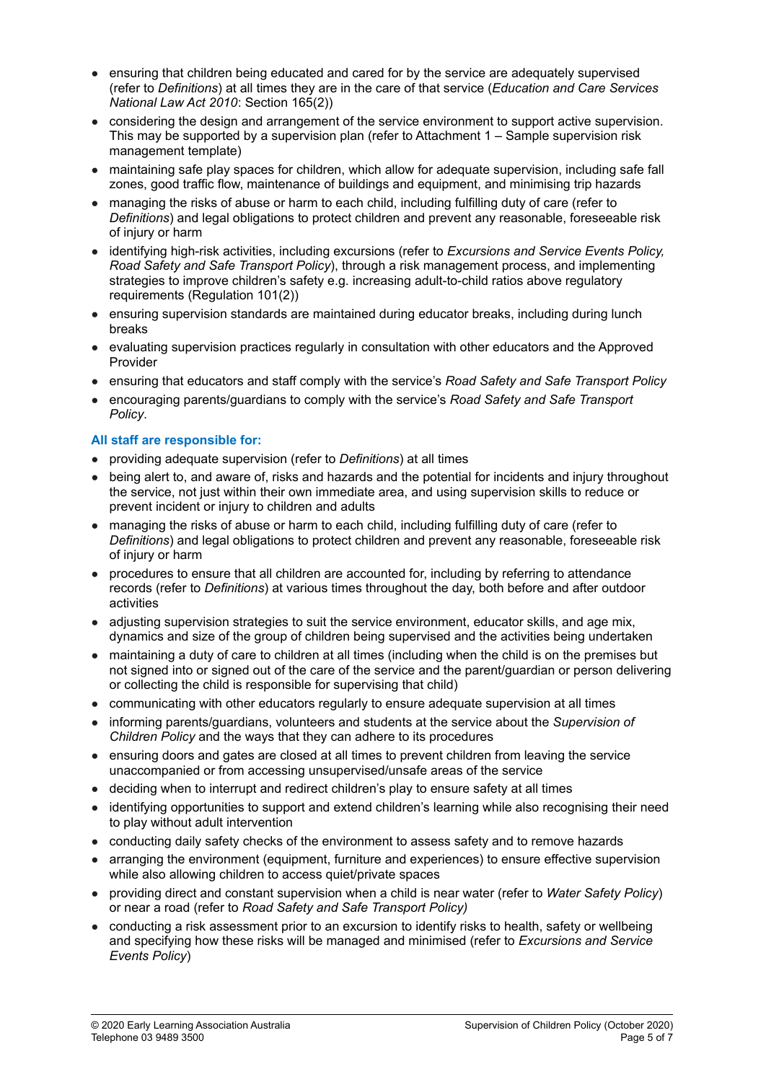- ensuring that children being educated and cared for by the service are adequately supervised (refer to *Definitions*) at all times they are in the care of that service (*Education and Care Services National Law Act 2010*: Section 165(2))
- considering the design and arrangement of the service environment to support active supervision. This may be supported by a supervision plan (refer to Attachment 1 – Sample supervision risk management template)
- maintaining safe play spaces for children, which allow for adequate supervision, including safe fall zones, good traffic flow, maintenance of buildings and equipment, and minimising trip hazards
- managing the risks of abuse or harm to each child, including fulfilling duty of care (refer to *Definitions*) and legal obligations to protect children and prevent any reasonable, foreseeable risk of injury or harm
- identifying high-risk activities, including excursions (refer to *Excursions and Service Events Policy, Road Safety and Safe Transport Policy*), through a risk management process, and implementing strategies to improve children's safety e.g. increasing adult-to-child ratios above regulatory requirements (Regulation 101(2))
- ensuring supervision standards are maintained during educator breaks, including during lunch breaks
- evaluating supervision practices regularly in consultation with other educators and the Approved Provider
- ensuring that educators and staff comply with the service's *Road Safety and Safe Transport Policy*
- encouraging parents/guardians to comply with the service's *Road Safety and Safe Transport Policy*.

# **All staff are responsible for:**

- providing adequate supervision (refer to *Definitions*) at all times
- being alert to, and aware of, risks and hazards and the potential for incidents and injury throughout the service, not just within their own immediate area, and using supervision skills to reduce or prevent incident or injury to children and adults
- managing the risks of abuse or harm to each child, including fulfilling duty of care (refer to *Definitions*) and legal obligations to protect children and prevent any reasonable, foreseeable risk of injury or harm
- procedures to ensure that all children are accounted for, including by referring to attendance records (refer to *Definitions*) at various times throughout the day, both before and after outdoor activities
- adjusting supervision strategies to suit the service environment, educator skills, and age mix, dynamics and size of the group of children being supervised and the activities being undertaken
- maintaining a duty of care to children at all times (including when the child is on the premises but not signed into or signed out of the care of the service and the parent/guardian or person delivering or collecting the child is responsible for supervising that child)
- communicating with other educators regularly to ensure adequate supervision at all times
- informing parents/guardians, volunteers and students at the service about the *Supervision of Children Policy* and the ways that they can adhere to its procedures
- ensuring doors and gates are closed at all times to prevent children from leaving the service unaccompanied or from accessing unsupervised/unsafe areas of the service
- deciding when to interrupt and redirect children's play to ensure safety at all times
- identifying opportunities to support and extend children's learning while also recognising their need to play without adult intervention
- conducting daily safety checks of the environment to assess safety and to remove hazards
- arranging the environment (equipment, furniture and experiences) to ensure effective supervision while also allowing children to access quiet/private spaces
- providing direct and constant supervision when a child is near water (refer to *Water Safety Policy*) or near a road (refer to *Road Safety and Safe Transport Policy)*
- conducting a risk assessment prior to an excursion to identify risks to health, safety or wellbeing and specifying how these risks will be managed and minimised (refer to *Excursions and Service Events Policy*)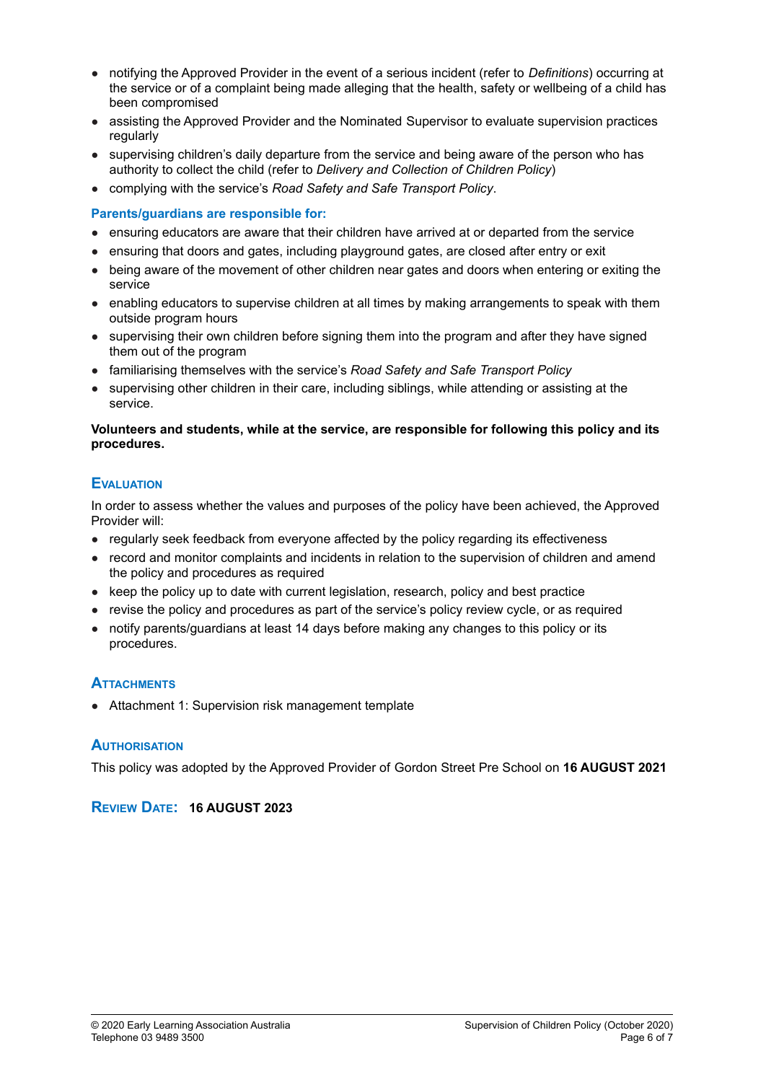- notifying the Approved Provider in the event of a serious incident (refer to *Definitions*) occurring at the service or of a complaint being made alleging that the health, safety or wellbeing of a child has been compromised
- assisting the Approved Provider and the Nominated Supervisor to evaluate supervision practices regularly
- supervising children's daily departure from the service and being aware of the person who has authority to collect the child (refer to *Delivery and Collection of Children Policy*)
- complying with the service's *Road Safety and Safe Transport Policy*.

### **Parents/guardians are responsible for:**

- ensuring educators are aware that their children have arrived at or departed from the service
- ensuring that doors and gates, including playground gates, are closed after entry or exit
- being aware of the movement of other children near gates and doors when entering or exiting the service
- enabling educators to supervise children at all times by making arrangements to speak with them outside program hours
- supervising their own children before signing them into the program and after they have signed them out of the program
- familiarising themselves with the service's *Road Safety and Safe Transport Policy*
- supervising other children in their care, including siblings, while attending or assisting at the service.

#### **Volunteers and students, while at the service, are responsible for following this policy and its procedures.**

# **EVALUATION**

In order to assess whether the values and purposes of the policy have been achieved, the Approved Provider will:

- regularly seek feedback from everyone affected by the policy regarding its effectiveness
- record and monitor complaints and incidents in relation to the supervision of children and amend the policy and procedures as required
- keep the policy up to date with current legislation, research, policy and best practice
- revise the policy and procedures as part of the service's policy review cycle, or as required
- notify parents/quardians at least 14 days before making any changes to this policy or its procedures.

# **ATTACHMENTS**

● Attachment 1: Supervision risk management template

# **AUTHORISATION**

This policy was adopted by the Approved Provider of Gordon Street Pre School on **16 AUGUST 2021**

# **REVIEW DATE: 16 AUGUST 2023**